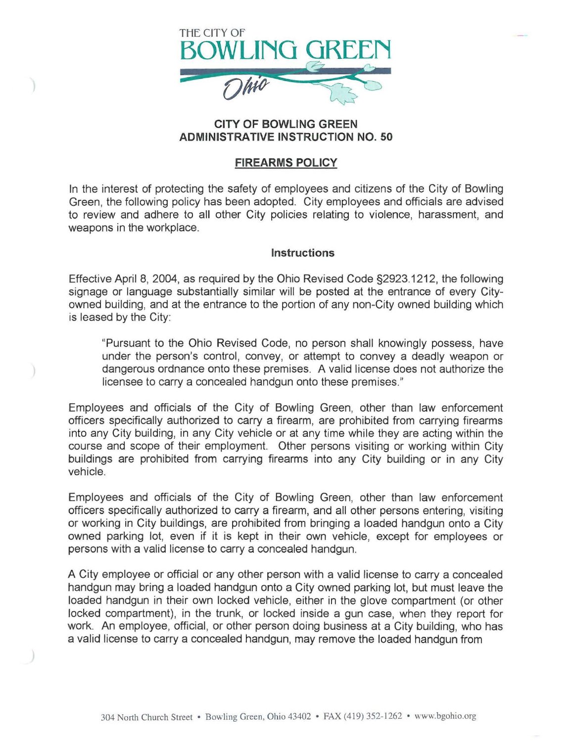

## CITY OF BOWLING GREEN ADMINISTRATIVE INSTRUCTION NO. 50

## FIREARMS POLICY

In the interest of protecting the safety of employees and citizens of the City of Bowling Green, the following policy has been adopted. City employees and officials are advised to review and adhere to all other City policies relating to violence, harassment, and weapons in the workplace.

## **Instructions**

Effective April 8, 2004, as required by the Ohio Revised Code §2923.1212, the following signage or language substantially similar will be posted at the entrance of every Cityowned building, and at the entrance to the portion of any non-City owned building which is leased by the City:

"Pursuant to the Ohio Revised Code, no person shall knowingly possess, have under the person's control, convey, or attempt to convey a deadly weapon or dangerous ordnance onto these premises. A valid license does not authorize the licensee to carry a concealed handgun onto these premises."

Employees and officials of the City of Bowling Green, other than law enforcement officers specifically authorized to carry a firearm, are prohibited from carrying firearms into any City building, in any City vehicle or at any time while they are acting within the course and scope of their employment. Other persons visiting or working within City buildings are prohibited from carrying firearms into any City building or in any City vehicle.

Employees and officials of the City of Bowling Green, other than law enforcement officers specifically authorized to carry a firearm, and all other persons entering, visiting or working in City buildings, are prohibited from bringing a loaded handgun onto a City owned parking lot, even if it is kept in their own vehicle, except for employees or persons with a valid license to carry a concealed handgun.

A City employee or official or any other person with a valid license to carry a concealed handgun may bring a loaded handgun onto a City owned parking lot, but must leave the loaded handgun in their own locked vehicle, either in the glove compartment (or other locked compartment), in the trunk, or locked inside a gun case, when they report for work. An employee, official, or other person doing business at a City building, who has a valid license to carry a concealed handgun, may remove the loaded handgun from